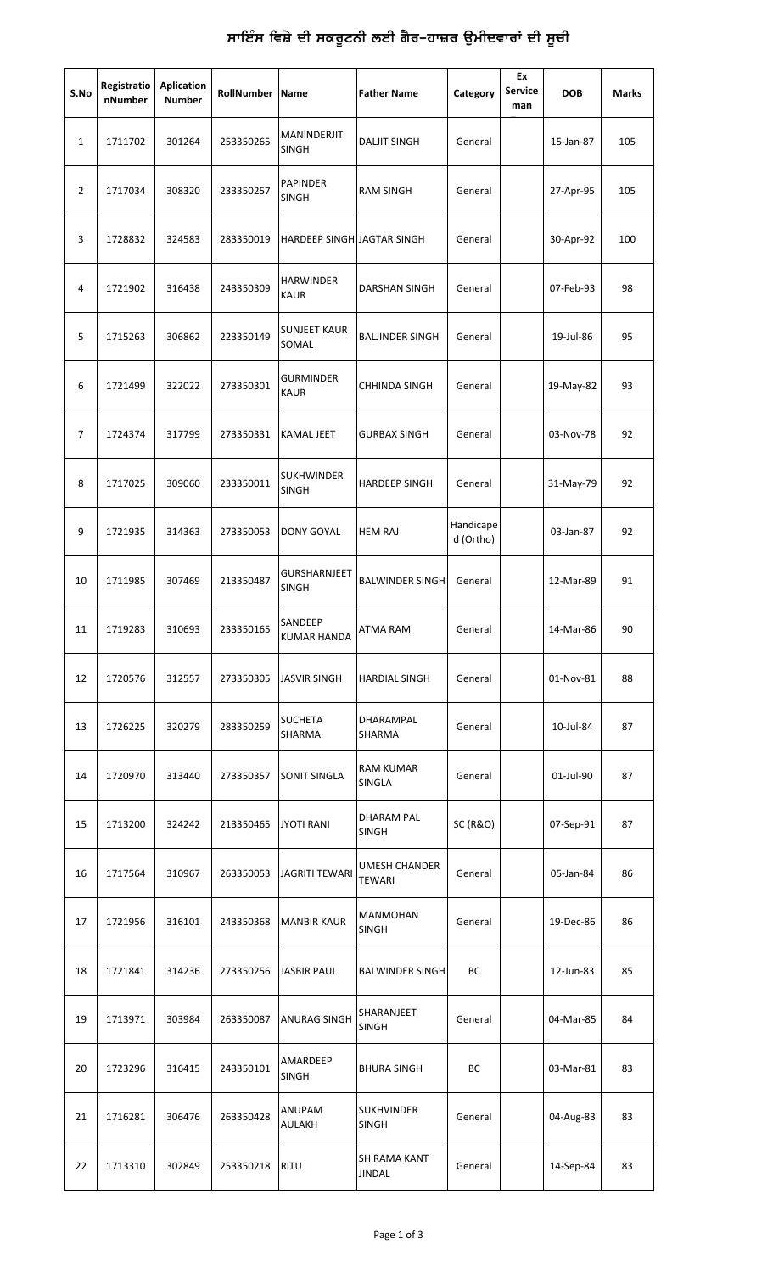| S.No           | Registratio<br>nNumber | <b>Aplication</b><br><b>Number</b> | RollNumber | Name                            | <b>Father Name</b>                    | Category               | Ex<br><b>Service</b><br>man | <b>DOB</b> | <b>Marks</b> |
|----------------|------------------------|------------------------------------|------------|---------------------------------|---------------------------------------|------------------------|-----------------------------|------------|--------------|
| 1              | 1711702                | 301264                             | 253350265  | MANINDERJIT<br>SINGH            | <b>DALJIT SINGH</b>                   | General                |                             | 15-Jan-87  | 105          |
| $\overline{2}$ | 1717034                | 308320                             | 233350257  | <b>PAPINDER</b><br>SINGH        | <b>RAM SINGH</b>                      | General                |                             | 27-Apr-95  | 105          |
| 3              | 1728832                | 324583                             | 283350019  | HARDEEP SINGH JAGTAR SINGH      |                                       | General                |                             | 30-Apr-92  | 100          |
| 4              | 1721902                | 316438                             | 243350309  | HARWINDER<br><b>KAUR</b>        | DARSHAN SINGH                         | General                |                             | 07-Feb-93  | 98           |
| 5              | 1715263                | 306862                             | 223350149  | <b>SUNJEET KAUR</b><br>SOMAL    | <b>BALJINDER SINGH</b>                | General                |                             | 19-Jul-86  | 95           |
| 6              | 1721499                | 322022                             | 273350301  | <b>GURMINDER</b><br><b>KAUR</b> | <b>CHHINDA SINGH</b>                  | General                |                             | 19-May-82  | 93           |
| 7              | 1724374                | 317799                             | 273350331  | <b>KAMAL JEET</b>               | <b>GURBAX SINGH</b>                   | General                |                             | 03-Nov-78  | 92           |
| 8              | 1717025                | 309060                             | 233350011  | <b>SUKHWINDER</b><br>SINGH      | <b>HARDEEP SINGH</b>                  | General                |                             | 31-May-79  | 92           |
| 9              | 1721935                | 314363                             | 273350053  | DONY GOYAL                      | <b>HEM RAJ</b>                        | Handicape<br>d (Ortho) |                             | 03-Jan-87  | 92           |
| 10             | 1711985                | 307469                             | 213350487  | GURSHARNJEET<br><b>SINGH</b>    | <b>BALWINDER SINGH</b>                | General                |                             | 12-Mar-89  | 91           |
| 11             | 1719283                | 310693                             | 233350165  | SANDEEP<br><b>KUMAR HANDA</b>   | <b>ATMA RAM</b>                       | General                |                             | 14-Mar-86  | 90           |
| 12             | 1720576                | 312557                             | 273350305  | <b>JASVIR SINGH</b>             | <b>HARDIAL SINGH</b>                  | General                |                             | 01-Nov-81  | 88           |
| 13             | 1726225                | 320279                             | 283350259  | SUCHETA<br>SHARMA               | DHARAMPAL<br>SHARMA                   | General                |                             | 10-Jul-84  | 87           |
| 14             | 1720970                | 313440                             | 273350357  | SONIT SINGLA                    | <b>RAM KUMAR</b><br>SINGLA            | General                |                             | 01-Jul-90  | 87           |
| 15             | 1713200                | 324242                             | 213350465  | <b>JYOTI RANI</b>               | <b>DHARAM PAL</b><br><b>SINGH</b>     | <b>SC (R&amp;O)</b>    |                             | 07-Sep-91  | 87           |
| 16             | 1717564                | 310967                             | 263350053  | JAGRITI TEWARI                  | <b>UMESH CHANDER</b><br><b>TEWARI</b> | General                |                             | 05-Jan-84  | 86           |
| 17             | 1721956                | 316101                             | 243350368  | <b>MANBIR KAUR</b>              | <b>MANMOHAN</b><br>SINGH              | General                |                             | 19-Dec-86  | 86           |
| 18             | 1721841                | 314236                             | 273350256  | <b>JASBIR PAUL</b>              | <b>BALWINDER SINGH</b>                | ВC                     |                             | 12-Jun-83  | 85           |
| 19             | 1713971                | 303984                             | 263350087  | ANURAG SINGH                    | SHARANJEET<br>SINGH                   | General                |                             | 04-Mar-85  | 84           |
| 20             | 1723296                | 316415                             | 243350101  | AMARDEEP<br>SINGH               | <b>BHURA SINGH</b>                    | ВC                     |                             | 03-Mar-81  | 83           |
| 21             | 1716281                | 306476                             | 263350428  | ANUPAM<br>AULAKH                | <b>SUKHVINDER</b><br><b>SINGH</b>     | General                |                             | 04-Aug-83  | 83           |
| 22             | 1713310                | 302849                             | 253350218  | <b>RITU</b>                     | SH RAMA KANT<br><b>JINDAL</b>         | General                |                             | 14-Sep-84  | 83           |

## ਸਾਇੰਸ ਵਿਸ਼ੇ ਦੀ ਸਕਰੂਟਨੀ ਲਈ ਗੈਰ–ਹਾਜ਼ਰ ਉਮੀਦਵਾਰਾਂ ਦੀ ਸੂਚੀ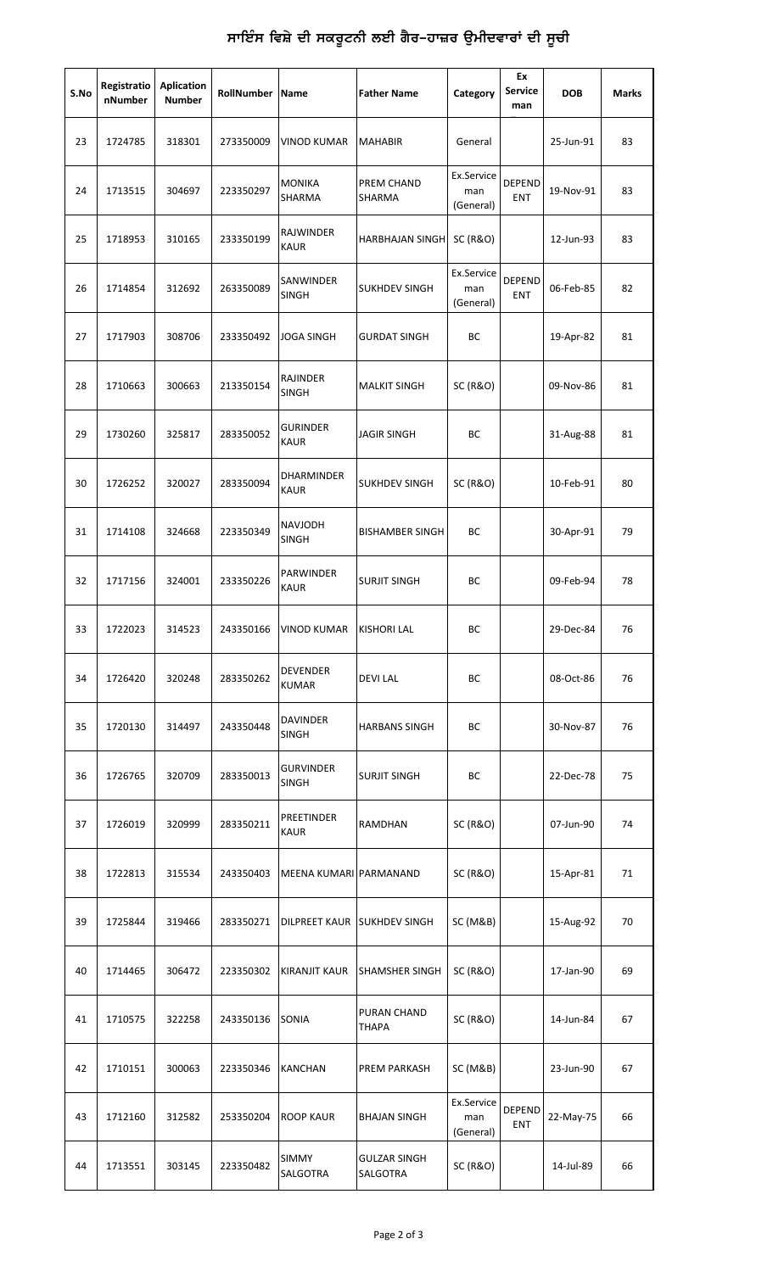## ਸਾਇੰਸ ਵਿਸ਼ੇ ਦੀ ਸਕਰੂਟਨੀ ਲਈ ਗੈਰ**–ਹਾਜ਼ਰ ਉਮੀਦਵਾਰਾਂ ਦੀ** ਸੂਚੀ

| S.No | Registratio<br>nNumber | <b>Aplication</b><br><b>Number</b> | RollNumber Name |                                 | <b>Father Name</b>              | Category                       | Ex<br><b>Service</b><br>man | <b>DOB</b> | Marks |
|------|------------------------|------------------------------------|-----------------|---------------------------------|---------------------------------|--------------------------------|-----------------------------|------------|-------|
| 23   | 1724785                | 318301                             | 273350009       | <b>VINOD KUMAR</b>              | <b>MAHABIR</b>                  | General                        |                             | 25-Jun-91  | 83    |
| 24   | 1713515                | 304697                             | 223350297       | <b>MONIKA</b><br>SHARMA         | PREM CHAND<br>SHARMA            | Ex.Service<br>man<br>(General) | <b>DEPEND</b><br><b>ENT</b> | 19-Nov-91  | 83    |
| 25   | 1718953                | 310165                             | 233350199       | RAJWINDER<br><b>KAUR</b>        | <b>HARBHAJAN SINGH</b>          | <b>SC (R&amp;O)</b>            |                             | 12-Jun-93  | 83    |
| 26   | 1714854                | 312692                             | 263350089       | SANWINDER<br>SINGH              | <b>SUKHDEV SINGH</b>            | Ex.Service<br>man<br>(General) | <b>DEPEND</b><br><b>ENT</b> | 06-Feb-85  | 82    |
| 27   | 1717903                | 308706                             | 233350492       | JOGA SINGH                      | <b>GURDAT SINGH</b>             | ВC                             |                             | 19-Apr-82  | 81    |
| 28   | 1710663                | 300663                             | 213350154       | RAJINDER<br><b>SINGH</b>        | <b>MALKIT SINGH</b>             | <b>SC (R&amp;O)</b>            |                             | 09-Nov-86  | 81    |
| 29   | 1730260                | 325817                             | 283350052       | <b>GURINDER</b><br><b>KAUR</b>  | <b>JAGIR SINGH</b>              | ВC                             |                             | 31-Aug-88  | 81    |
| 30   | 1726252                | 320027                             | 283350094       | DHARMINDER<br><b>KAUR</b>       | <b>SUKHDEV SINGH</b>            | <b>SC (R&amp;O)</b>            |                             | 10-Feb-91  | 80    |
| 31   | 1714108                | 324668                             | 223350349       | NAVJODH<br><b>SINGH</b>         | <b>BISHAMBER SINGH</b>          | ВC                             |                             | 30-Apr-91  | 79    |
| 32   | 1717156                | 324001                             | 233350226       | PARWINDER<br><b>KAUR</b>        | <b>SURJIT SINGH</b>             | ВC                             |                             | 09-Feb-94  | 78    |
| 33   | 1722023                | 314523                             | 243350166       | VINOD KUMAR                     | <b>KISHORI LAL</b>              | ВC                             |                             | 29-Dec-84  | 76    |
| 34   | 1726420                | 320248                             | 283350262       | <b>DEVENDER</b><br><b>KUMAR</b> | <b>DEVILAL</b>                  | BС                             |                             | 08-Oct-86  | 76    |
| 35   | 1720130                | 314497                             | 243350448       | <b>DAVINDER</b><br><b>SINGH</b> | <b>HARBANS SINGH</b>            | ВC                             |                             | 30-Nov-87  | 76    |
| 36   | 1726765                | 320709                             | 283350013       | <b>GURVINDER</b><br>SINGH       | <b>SURJIT SINGH</b>             | BC                             |                             | 22-Dec-78  | 75    |
| 37   | 1726019                | 320999                             | 283350211       | PREETINDER<br><b>KAUR</b>       | RAMDHAN                         | <b>SC (R&amp;O)</b>            |                             | 07-Jun-90  | 74    |
| 38   | 1722813                | 315534                             | 243350403       | MEENA KUMARI PARMANAND          |                                 | <b>SC (R&amp;O)</b>            |                             | 15-Apr-81  | 71    |
| 39   | 1725844                | 319466                             | 283350271       |                                 | DILPREET KAUR SUKHDEV SINGH     | SC (M&B)                       |                             | 15-Aug-92  | 70    |
| 40   | 1714465                | 306472                             | 223350302       | <b>KIRANJIT KAUR</b>            | <b>SHAMSHER SINGH</b>           | <b>SC (R&amp;O)</b>            |                             | 17-Jan-90  | 69    |
| 41   | 1710575                | 322258                             | 243350136       | SONIA                           | PURAN CHAND<br><b>THAPA</b>     | <b>SC (R&amp;O)</b>            |                             | 14-Jun-84  | 67    |
| 42   | 1710151                | 300063                             | 223350346       | KANCHAN                         | <b>PREM PARKASH</b>             | SC (M&B)                       |                             | 23-Jun-90  | 67    |
| 43   | 1712160                | 312582                             | 253350204       | ROOP KAUR                       | <b>BHAJAN SINGH</b>             | Ex.Service<br>man<br>(General) | <b>DEPEND</b><br><b>ENT</b> | 22-May-75  | 66    |
| 44   | 1713551                | 303145                             | 223350482       | <b>SIMMY</b><br>SALGOTRA        | <b>GULZAR SINGH</b><br>SALGOTRA | <b>SC (R&amp;O)</b>            |                             | 14-Jul-89  | 66    |